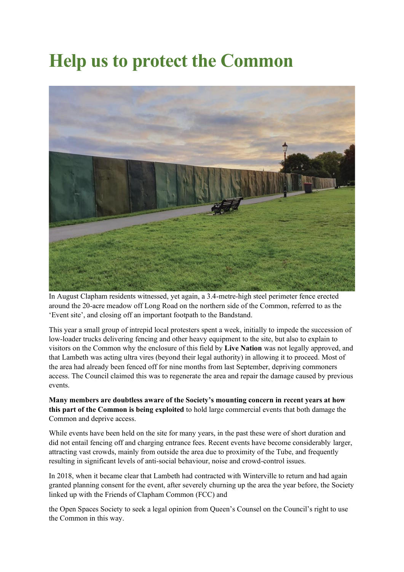## **Help us to protect the Common**



In August Clapham residents witnessed, yet again, a 3.4-metre-high steel perimeter fence erected around the 20-acre meadow off Long Road on the northern side of the Common, referred to as the 'Event site', and closing off an important footpath to the Bandstand.

This year a small group of intrepid local protesters spent a week, initially to impede the succession of low-loader trucks delivering fencing and other heavy equipment to the site, but also to explain to visitors on the Common why the enclosure of this field by **Live Nation** was not legally approved, and that Lambeth was acting ultra vires (beyond their legal authority) in allowing it to proceed. Most of the area had already been fenced off for nine months from last September, depriving commoners access. The Council claimed this was to regenerate the area and repair the damage caused by previous events.

**Many members are doubtless aware of the Society's mounting concern in recent years at how this part of the Common is being exploited** to hold large commercial events that both damage the Common and deprive access.

While events have been held on the site for many years, in the past these were of short duration and did not entail fencing off and charging entrance fees. Recent events have become considerably larger, attracting vast crowds, mainly from outside the area due to proximity of the Tube, and frequently resulting in significant levels of anti-social behaviour, noise and crowd-control issues.

In 2018, when it became clear that Lambeth had contracted with Winterville to return and had again granted planning consent for the event, after severely churning up the area the year before, the Society linked up with the Friends of Clapham Common (FCC) and

the Open Spaces Society to seek a legal opinion from Queen's Counsel on the Council's right to use the Common in this way.